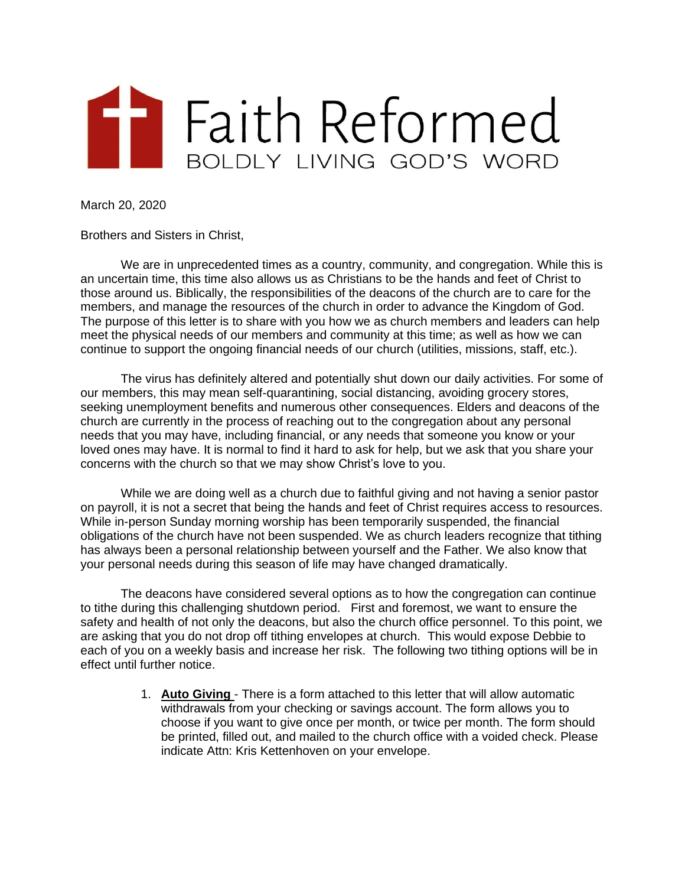

March 20, 2020

Brothers and Sisters in Christ,

We are in unprecedented times as a country, community, and congregation. While this is an uncertain time, this time also allows us as Christians to be the hands and feet of Christ to those around us. Biblically, the responsibilities of the deacons of the church are to care for the members, and manage the resources of the church in order to advance the Kingdom of God. The purpose of this letter is to share with you how we as church members and leaders can help meet the physical needs of our members and community at this time; as well as how we can continue to support the ongoing financial needs of our church (utilities, missions, staff, etc.).

The virus has definitely altered and potentially shut down our daily activities. For some of our members, this may mean self-quarantining, social distancing, avoiding grocery stores, seeking unemployment benefits and numerous other consequences. Elders and deacons of the church are currently in the process of reaching out to the congregation about any personal needs that you may have, including financial, or any needs that someone you know or your loved ones may have. It is normal to find it hard to ask for help, but we ask that you share your concerns with the church so that we may show Christ's love to you.

While we are doing well as a church due to faithful giving and not having a senior pastor on payroll, it is not a secret that being the hands and feet of Christ requires access to resources. While in-person Sunday morning worship has been temporarily suspended, the financial obligations of the church have not been suspended. We as church leaders recognize that tithing has always been a personal relationship between yourself and the Father. We also know that your personal needs during this season of life may have changed dramatically.

The deacons have considered several options as to how the congregation can continue to tithe during this challenging shutdown period. First and foremost, we want to ensure the safety and health of not only the deacons, but also the church office personnel. To this point, we are asking that you do not drop off tithing envelopes at church. This would expose Debbie to each of you on a weekly basis and increase her risk. The following two tithing options will be in effect until further notice.

> 1. **Auto Giving** - There is a form attached to this letter that will allow automatic withdrawals from your checking or savings account. The form allows you to choose if you want to give once per month, or twice per month. The form should be printed, filled out, and mailed to the church office with a voided check. Please indicate Attn: Kris Kettenhoven on your envelope.